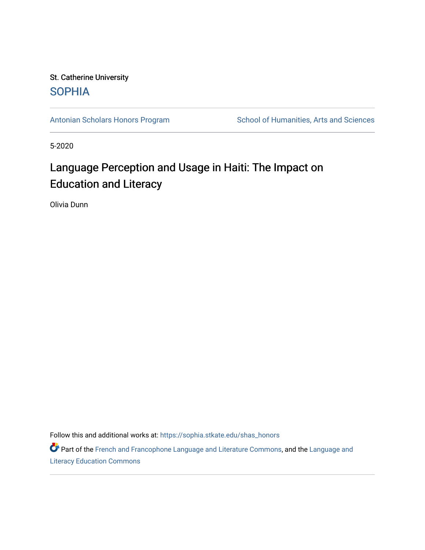## St. Catherine University **SOPHIA**

[Antonian Scholars Honors Program](https://sophia.stkate.edu/shas_honors) School of Humanities, Arts and Sciences

5-2020

# Language Perception and Usage in Haiti: The Impact on Education and Literacy

Olivia Dunn

Follow this and additional works at: [https://sophia.stkate.edu/shas\\_honors](https://sophia.stkate.edu/shas_honors?utm_source=sophia.stkate.edu%2Fshas_honors%2F61&utm_medium=PDF&utm_campaign=PDFCoverPages)

Part of the [French and Francophone Language and Literature Commons,](https://network.bepress.com/hgg/discipline/463?utm_source=sophia.stkate.edu%2Fshas_honors%2F61&utm_medium=PDF&utm_campaign=PDFCoverPages) and the Language and [Literacy Education Commons](https://network.bepress.com/hgg/discipline/1380?utm_source=sophia.stkate.edu%2Fshas_honors%2F61&utm_medium=PDF&utm_campaign=PDFCoverPages)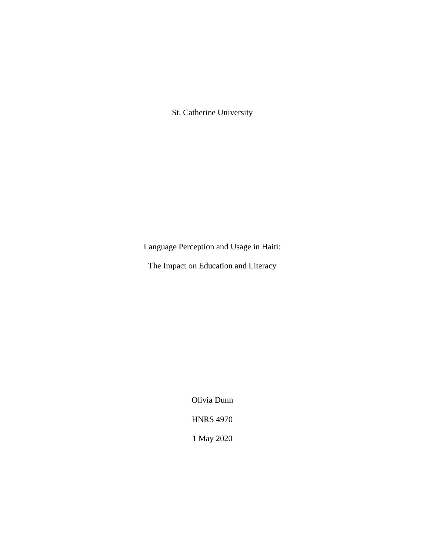St. Catherine University

Language Perception and Usage in Haiti:

The Impact on Education and Literacy

Olivia Dunn HNRS 4970 1 May 2020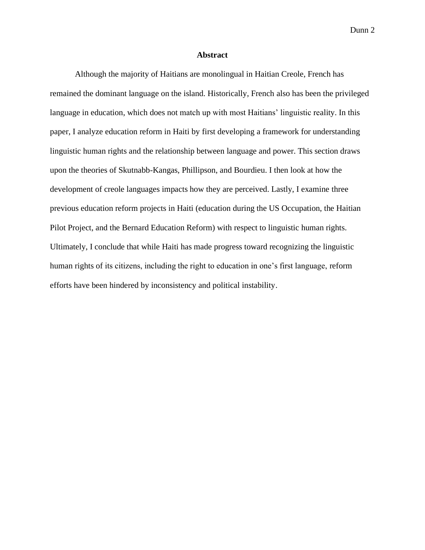## **Abstract**

Although the majority of Haitians are monolingual in Haitian Creole, French has remained the dominant language on the island. Historically, French also has been the privileged language in education, which does not match up with most Haitians' linguistic reality. In this paper, I analyze education reform in Haiti by first developing a framework for understanding linguistic human rights and the relationship between language and power. This section draws upon the theories of Skutnabb-Kangas, Phillipson, and Bourdieu. I then look at how the development of creole languages impacts how they are perceived. Lastly, I examine three previous education reform projects in Haiti (education during the US Occupation, the Haitian Pilot Project, and the Bernard Education Reform) with respect to linguistic human rights. Ultimately, I conclude that while Haiti has made progress toward recognizing the linguistic human rights of its citizens, including the right to education in one's first language, reform efforts have been hindered by inconsistency and political instability.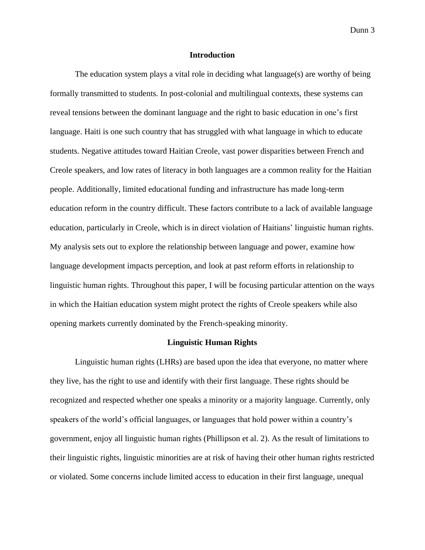## **Introduction**

The education system plays a vital role in deciding what language(s) are worthy of being formally transmitted to students. In post-colonial and multilingual contexts, these systems can reveal tensions between the dominant language and the right to basic education in one's first language. Haiti is one such country that has struggled with what language in which to educate students. Negative attitudes toward Haitian Creole, vast power disparities between French and Creole speakers, and low rates of literacy in both languages are a common reality for the Haitian people. Additionally, limited educational funding and infrastructure has made long-term education reform in the country difficult. These factors contribute to a lack of available language education, particularly in Creole, which is in direct violation of Haitians' linguistic human rights. My analysis sets out to explore the relationship between language and power, examine how language development impacts perception, and look at past reform efforts in relationship to linguistic human rights. Throughout this paper, I will be focusing particular attention on the ways in which the Haitian education system might protect the rights of Creole speakers while also opening markets currently dominated by the French-speaking minority.

## **Linguistic Human Rights**

Linguistic human rights (LHRs) are based upon the idea that everyone, no matter where they live, has the right to use and identify with their first language. These rights should be recognized and respected whether one speaks a minority or a majority language. Currently, only speakers of the world's official languages, or languages that hold power within a country's government, enjoy all linguistic human rights (Phillipson et al. 2). As the result of limitations to their linguistic rights, linguistic minorities are at risk of having their other human rights restricted or violated. Some concerns include limited access to education in their first language, unequal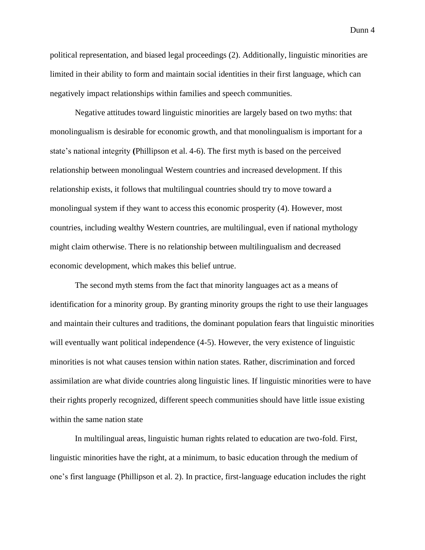political representation, and biased legal proceedings (2). Additionally, linguistic minorities are limited in their ability to form and maintain social identities in their first language, which can negatively impact relationships within families and speech communities.

Negative attitudes toward linguistic minorities are largely based on two myths: that monolingualism is desirable for economic growth, and that monolingualism is important for a state's national integrity **(**Phillipson et al. 4-6). The first myth is based on the perceived relationship between monolingual Western countries and increased development. If this relationship exists, it follows that multilingual countries should try to move toward a monolingual system if they want to access this economic prosperity (4). However, most countries, including wealthy Western countries, are multilingual, even if national mythology might claim otherwise. There is no relationship between multilingualism and decreased economic development, which makes this belief untrue.

The second myth stems from the fact that minority languages act as a means of identification for a minority group. By granting minority groups the right to use their languages and maintain their cultures and traditions, the dominant population fears that linguistic minorities will eventually want political independence  $(4-5)$ . However, the very existence of linguistic minorities is not what causes tension within nation states. Rather, discrimination and forced assimilation are what divide countries along linguistic lines. If linguistic minorities were to have their rights properly recognized, different speech communities should have little issue existing within the same nation state

In multilingual areas, linguistic human rights related to education are two-fold. First, linguistic minorities have the right, at a minimum, to basic education through the medium of one's first language (Phillipson et al. 2). In practice, first-language education includes the right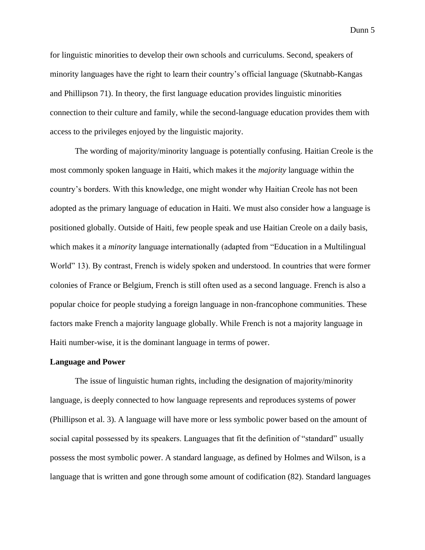for linguistic minorities to develop their own schools and curriculums. Second, speakers of minority languages have the right to learn their country's official language (Skutnabb-Kangas and Phillipson 71). In theory, the first language education provides linguistic minorities connection to their culture and family, while the second-language education provides them with access to the privileges enjoyed by the linguistic majority.

The wording of majority/minority language is potentially confusing. Haitian Creole is the most commonly spoken language in Haiti, which makes it the *majority* language within the country's borders. With this knowledge, one might wonder why Haitian Creole has not been adopted as the primary language of education in Haiti. We must also consider how a language is positioned globally. Outside of Haiti, few people speak and use Haitian Creole on a daily basis, which makes it a *minority* language internationally (adapted from "Education in a Multilingual World" 13). By contrast, French is widely spoken and understood. In countries that were former colonies of France or Belgium, French is still often used as a second language. French is also a popular choice for people studying a foreign language in non-francophone communities. These factors make French a majority language globally. While French is not a majority language in Haiti number-wise, it is the dominant language in terms of power.

## **Language and Power**

The issue of linguistic human rights, including the designation of majority/minority language, is deeply connected to how language represents and reproduces systems of power (Phillipson et al. 3). A language will have more or less symbolic power based on the amount of social capital possessed by its speakers. Languages that fit the definition of "standard" usually possess the most symbolic power. A standard language, as defined by Holmes and Wilson, is a language that is written and gone through some amount of codification (82). Standard languages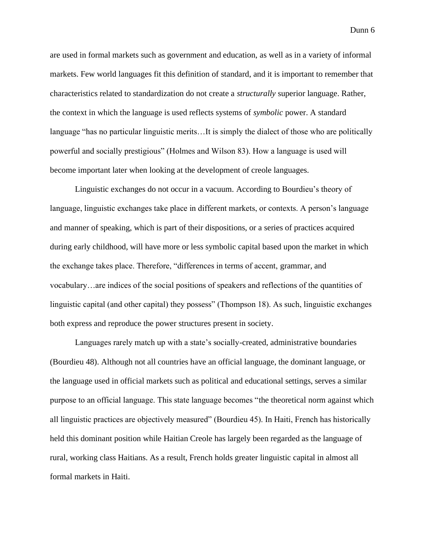are used in formal markets such as government and education, as well as in a variety of informal markets. Few world languages fit this definition of standard, and it is important to remember that characteristics related to standardization do not create a *structurally* superior language. Rather, the context in which the language is used reflects systems of *symbolic* power. A standard language "has no particular linguistic merits…It is simply the dialect of those who are politically powerful and socially prestigious" (Holmes and Wilson 83). How a language is used will become important later when looking at the development of creole languages.

Linguistic exchanges do not occur in a vacuum. According to Bourdieu's theory of language, linguistic exchanges take place in different markets, or contexts. A person's language and manner of speaking, which is part of their dispositions, or a series of practices acquired during early childhood, will have more or less symbolic capital based upon the market in which the exchange takes place. Therefore, "differences in terms of accent, grammar, and vocabulary…are indices of the social positions of speakers and reflections of the quantities of linguistic capital (and other capital) they possess" (Thompson 18). As such, linguistic exchanges both express and reproduce the power structures present in society.

Languages rarely match up with a state's socially-created, administrative boundaries (Bourdieu 48). Although not all countries have an official language, the dominant language, or the language used in official markets such as political and educational settings, serves a similar purpose to an official language. This state language becomes "the theoretical norm against which all linguistic practices are objectively measured" (Bourdieu 45). In Haiti, French has historically held this dominant position while Haitian Creole has largely been regarded as the language of rural, working class Haitians. As a result, French holds greater linguistic capital in almost all formal markets in Haiti.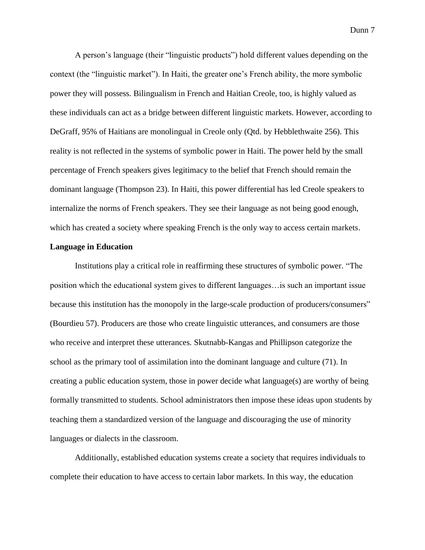A person's language (their "linguistic products") hold different values depending on the context (the "linguistic market"). In Haiti, the greater one's French ability, the more symbolic power they will possess. Bilingualism in French and Haitian Creole, too, is highly valued as these individuals can act as a bridge between different linguistic markets. However, according to DeGraff, 95% of Haitians are monolingual in Creole only (Qtd. by Hebblethwaite 256). This reality is not reflected in the systems of symbolic power in Haiti. The power held by the small percentage of French speakers gives legitimacy to the belief that French should remain the dominant language (Thompson 23). In Haiti, this power differential has led Creole speakers to internalize the norms of French speakers. They see their language as not being good enough, which has created a society where speaking French is the only way to access certain markets.

## **Language in Education**

Institutions play a critical role in reaffirming these structures of symbolic power. "The position which the educational system gives to different languages…is such an important issue because this institution has the monopoly in the large-scale production of producers/consumers" (Bourdieu 57). Producers are those who create linguistic utterances, and consumers are those who receive and interpret these utterances. Skutnabb-Kangas and Phillipson categorize the school as the primary tool of assimilation into the dominant language and culture (71). In creating a public education system, those in power decide what language(s) are worthy of being formally transmitted to students. School administrators then impose these ideas upon students by teaching them a standardized version of the language and discouraging the use of minority languages or dialects in the classroom.

Additionally, established education systems create a society that requires individuals to complete their education to have access to certain labor markets. In this way, the education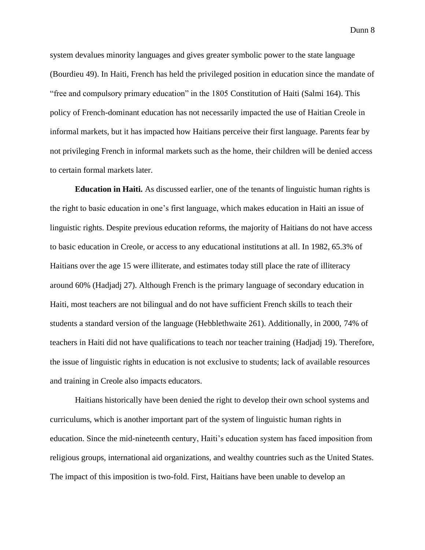system devalues minority languages and gives greater symbolic power to the state language (Bourdieu 49). In Haiti, French has held the privileged position in education since the mandate of "free and compulsory primary education" in the 1805 Constitution of Haiti (Salmi 164). This policy of French-dominant education has not necessarily impacted the use of Haitian Creole in informal markets, but it has impacted how Haitians perceive their first language. Parents fear by not privileging French in informal markets such as the home, their children will be denied access to certain formal markets later.

**Education in Haiti.** As discussed earlier, one of the tenants of linguistic human rights is the right to basic education in one's first language, which makes education in Haiti an issue of linguistic rights. Despite previous education reforms, the majority of Haitians do not have access to basic education in Creole, or access to any educational institutions at all. In 1982, 65.3% of Haitians over the age 15 were illiterate, and estimates today still place the rate of illiteracy around 60% (Hadjadj 27). Although French is the primary language of secondary education in Haiti, most teachers are not bilingual and do not have sufficient French skills to teach their students a standard version of the language (Hebblethwaite 261). Additionally, in 2000, 74% of teachers in Haiti did not have qualifications to teach nor teacher training (Hadjadj 19). Therefore, the issue of linguistic rights in education is not exclusive to students; lack of available resources and training in Creole also impacts educators.

Haitians historically have been denied the right to develop their own school systems and curriculums, which is another important part of the system of linguistic human rights in education. Since the mid-nineteenth century, Haiti's education system has faced imposition from religious groups, international aid organizations, and wealthy countries such as the United States. The impact of this imposition is two-fold. First, Haitians have been unable to develop an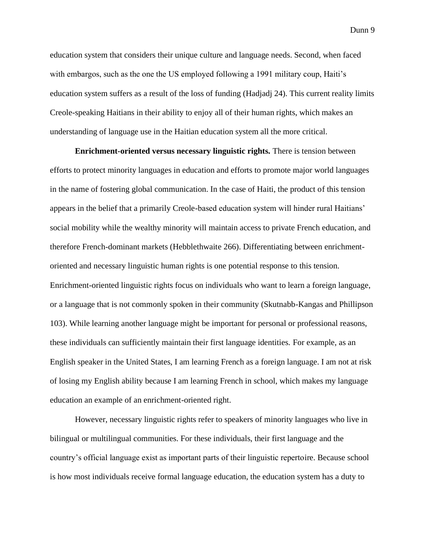education system that considers their unique culture and language needs. Second, when faced with embargos, such as the one the US employed following a 1991 military coup, Haiti's education system suffers as a result of the loss of funding (Hadjadj 24). This current reality limits Creole-speaking Haitians in their ability to enjoy all of their human rights, which makes an understanding of language use in the Haitian education system all the more critical.

**Enrichment-oriented versus necessary linguistic rights.** There is tension between efforts to protect minority languages in education and efforts to promote major world languages in the name of fostering global communication. In the case of Haiti, the product of this tension appears in the belief that a primarily Creole-based education system will hinder rural Haitians' social mobility while the wealthy minority will maintain access to private French education, and therefore French-dominant markets (Hebblethwaite 266). Differentiating between enrichmentoriented and necessary linguistic human rights is one potential response to this tension. Enrichment-oriented linguistic rights focus on individuals who want to learn a foreign language, or a language that is not commonly spoken in their community (Skutnabb-Kangas and Phillipson 103). While learning another language might be important for personal or professional reasons, these individuals can sufficiently maintain their first language identities. For example, as an English speaker in the United States, I am learning French as a foreign language. I am not at risk of losing my English ability because I am learning French in school, which makes my language education an example of an enrichment-oriented right.

However, necessary linguistic rights refer to speakers of minority languages who live in bilingual or multilingual communities. For these individuals, their first language and the country's official language exist as important parts of their linguistic repertoire. Because school is how most individuals receive formal language education, the education system has a duty to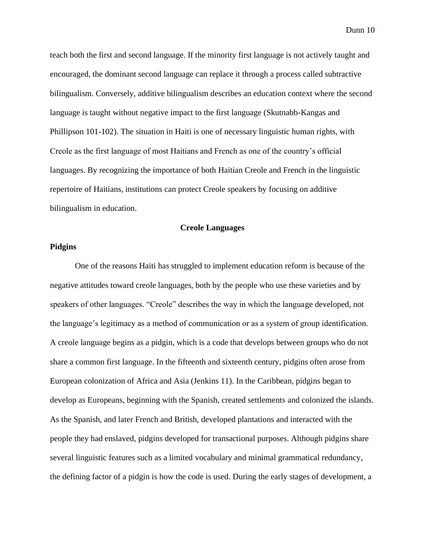teach both the first and second language. If the minority first language is not actively taught and encouraged, the dominant second language can replace it through a process called subtractive bilingualism. Conversely, additive bilingualism describes an education context where the second language is taught without negative impact to the first language (Skutnabb-Kangas and Phillipson 101-102). The situation in Haiti is one of necessary linguistic human rights, with Creole as the first language of most Haitians and French as one of the country's official languages. By recognizing the importance of both Haitian Creole and French in the linguistic repertoire of Haitians, institutions can protect Creole speakers by focusing on additive bilingualism in education.

## **Creole Languages**

## **Pidgins**

One of the reasons Haiti has struggled to implement education reform is because of the negative attitudes toward creole languages, both by the people who use these varieties and by speakers of other languages. "Creole" describes the way in which the language developed, not the language's legitimacy as a method of communication or as a system of group identification. A creole language begins as a pidgin, which is a code that develops between groups who do not share a common first language. In the fifteenth and sixteenth century, pidgins often arose from European colonization of Africa and Asia (Jenkins 11). In the Caribbean, pidgins began to develop as Europeans, beginning with the Spanish, created settlements and colonized the islands. As the Spanish, and later French and British, developed plantations and interacted with the people they had enslaved, pidgins developed for transactional purposes. Although pidgins share several linguistic features such as a limited vocabulary and minimal grammatical redundancy, the defining factor of a pidgin is how the code is used. During the early stages of development, a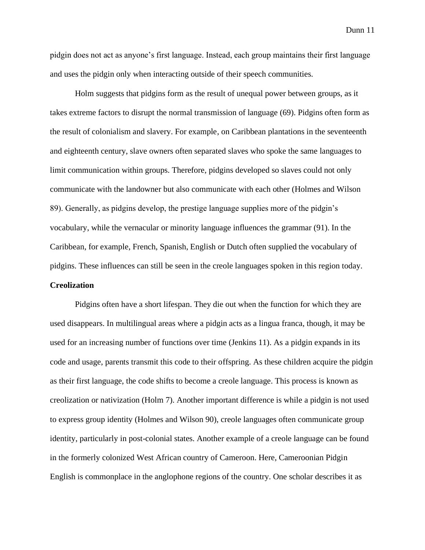pidgin does not act as anyone's first language. Instead, each group maintains their first language and uses the pidgin only when interacting outside of their speech communities.

Holm suggests that pidgins form as the result of unequal power between groups, as it takes extreme factors to disrupt the normal transmission of language (69). Pidgins often form as the result of colonialism and slavery. For example, on Caribbean plantations in the seventeenth and eighteenth century, slave owners often separated slaves who spoke the same languages to limit communication within groups. Therefore, pidgins developed so slaves could not only communicate with the landowner but also communicate with each other (Holmes and Wilson 89). Generally, as pidgins develop, the prestige language supplies more of the pidgin's vocabulary, while the vernacular or minority language influences the grammar (91). In the Caribbean, for example, French, Spanish, English or Dutch often supplied the vocabulary of pidgins. These influences can still be seen in the creole languages spoken in this region today. **Creolization**

Pidgins often have a short lifespan. They die out when the function for which they are used disappears. In multilingual areas where a pidgin acts as a lingua franca, though, it may be used for an increasing number of functions over time (Jenkins 11). As a pidgin expands in its code and usage, parents transmit this code to their offspring. As these children acquire the pidgin as their first language, the code shifts to become a creole language. This process is known as creolization or nativization (Holm 7). Another important difference is while a pidgin is not used to express group identity (Holmes and Wilson 90), creole languages often communicate group identity, particularly in post-colonial states. Another example of a creole language can be found in the formerly colonized West African country of Cameroon. Here, Cameroonian Pidgin English is commonplace in the anglophone regions of the country. One scholar describes it as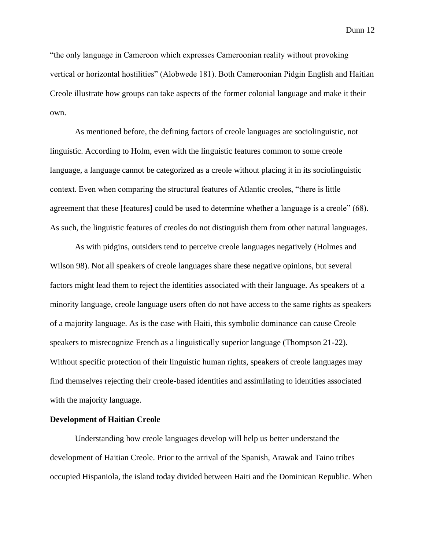"the only language in Cameroon which expresses Cameroonian reality without provoking vertical or horizontal hostilities" (Alobwede 181). Both Cameroonian Pidgin English and Haitian Creole illustrate how groups can take aspects of the former colonial language and make it their own.

As mentioned before, the defining factors of creole languages are sociolinguistic, not linguistic. According to Holm, even with the linguistic features common to some creole language, a language cannot be categorized as a creole without placing it in its sociolinguistic context. Even when comparing the structural features of Atlantic creoles, "there is little agreement that these [features] could be used to determine whether a language is a creole" (68). As such, the linguistic features of creoles do not distinguish them from other natural languages.

As with pidgins, outsiders tend to perceive creole languages negatively (Holmes and Wilson 98). Not all speakers of creole languages share these negative opinions, but several factors might lead them to reject the identities associated with their language. As speakers of a minority language, creole language users often do not have access to the same rights as speakers of a majority language. As is the case with Haiti, this symbolic dominance can cause Creole speakers to misrecognize French as a linguistically superior language (Thompson 21-22). Without specific protection of their linguistic human rights, speakers of creole languages may find themselves rejecting their creole-based identities and assimilating to identities associated with the majority language.

## **Development of Haitian Creole**

Understanding how creole languages develop will help us better understand the development of Haitian Creole. Prior to the arrival of the Spanish, Arawak and Taino tribes occupied Hispaniola, the island today divided between Haiti and the Dominican Republic. When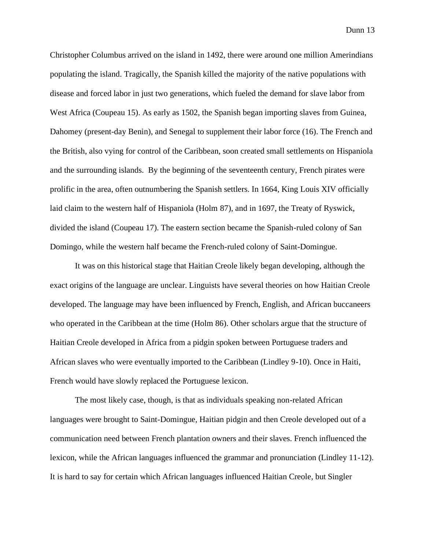Christopher Columbus arrived on the island in 1492, there were around one million Amerindians populating the island. Tragically, the Spanish killed the majority of the native populations with disease and forced labor in just two generations, which fueled the demand for slave labor from West Africa (Coupeau 15). As early as 1502, the Spanish began importing slaves from Guinea, Dahomey (present-day Benin), and Senegal to supplement their labor force (16). The French and the British, also vying for control of the Caribbean, soon created small settlements on Hispaniola and the surrounding islands. By the beginning of the seventeenth century, French pirates were prolific in the area, often outnumbering the Spanish settlers. In 1664, King Louis XIV officially laid claim to the western half of Hispaniola (Holm 87), and in 1697, the Treaty of Ryswick, divided the island (Coupeau 17). The eastern section became the Spanish-ruled colony of San Domingo, while the western half became the French-ruled colony of Saint-Domingue.

It was on this historical stage that Haitian Creole likely began developing, although the exact origins of the language are unclear. Linguists have several theories on how Haitian Creole developed. The language may have been influenced by French, English, and African buccaneers who operated in the Caribbean at the time (Holm 86). Other scholars argue that the structure of Haitian Creole developed in Africa from a pidgin spoken between Portuguese traders and African slaves who were eventually imported to the Caribbean (Lindley 9-10). Once in Haiti, French would have slowly replaced the Portuguese lexicon.

The most likely case, though, is that as individuals speaking non-related African languages were brought to Saint-Domingue, Haitian pidgin and then Creole developed out of a communication need between French plantation owners and their slaves. French influenced the lexicon, while the African languages influenced the grammar and pronunciation (Lindley 11-12). It is hard to say for certain which African languages influenced Haitian Creole, but Singler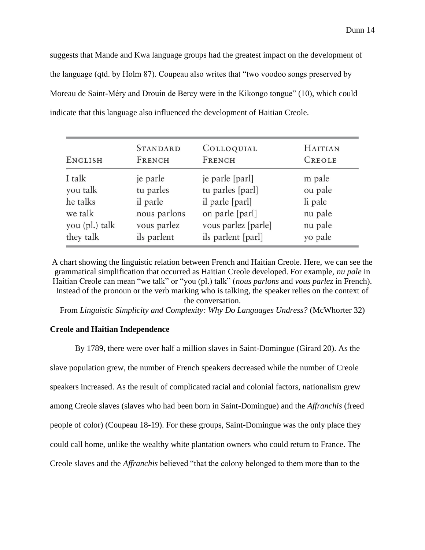suggests that Mande and Kwa language groups had the greatest impact on the development of the language (qtd. by Holm 87). Coupeau also writes that "two voodoo songs preserved by Moreau de Saint-Méry and Drouin de Bercy were in the Kikongo tongue" (10), which could indicate that this language also influenced the development of Haitian Creole.

| ENGLISH        | <b>STANDARD</b> | COLLOQUIAL          | <b>HAITIAN</b> |
|----------------|-----------------|---------------------|----------------|
|                | FRENCH          | FRENCH              | CREOLE         |
| I talk         | je parle        | je parle [parl]     | m pale         |
| you talk       | tu parles       | tu parles [parl]    | ou pale        |
| he talks       | il parle        | il parle [parl]     | li pale        |
| we talk        | nous parlons    | on parle [parl]     | nu pale        |
| you (pl.) talk | vous parlez     | vous parlez [parle] | nu pale        |
| they talk      | ils parlent     | ils parlent [parl]  | yo pale        |

A chart showing the linguistic relation between French and Haitian Creole. Here, we can see the grammatical simplification that occurred as Haitian Creole developed. For example, *nu pale* in Haitian Creole can mean "we talk" or "you (pl.) talk" (*nous parlons* and *vous parlez* in French). Instead of the pronoun or the verb marking who is talking, the speaker relies on the context of the conversation.

From *Linguistic Simplicity and Complexity: Why Do Languages Undress?* (McWhorter 32)

## **Creole and Haitian Independence**

By 1789, there were over half a million slaves in Saint-Domingue (Girard 20). As the slave population grew, the number of French speakers decreased while the number of Creole speakers increased. As the result of complicated racial and colonial factors, nationalism grew among Creole slaves (slaves who had been born in Saint-Domingue) and the *Affranchis* (freed people of color) (Coupeau 18-19). For these groups, Saint-Domingue was the only place they could call home, unlike the wealthy white plantation owners who could return to France. The Creole slaves and the *Affranchis* believed "that the colony belonged to them more than to the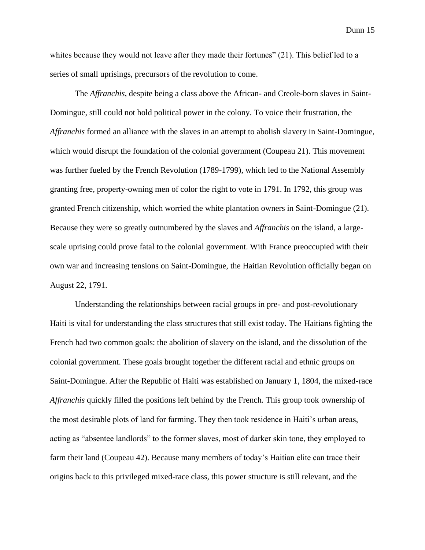whites because they would not leave after they made their fortunes" (21). This belief led to a series of small uprisings, precursors of the revolution to come.

The *Affranchis*, despite being a class above the African- and Creole-born slaves in Saint-Domingue, still could not hold political power in the colony. To voice their frustration, the *Affranchis* formed an alliance with the slaves in an attempt to abolish slavery in Saint-Domingue, which would disrupt the foundation of the colonial government (Coupeau 21). This movement was further fueled by the French Revolution (1789-1799), which led to the National Assembly granting free, property-owning men of color the right to vote in 1791. In 1792, this group was granted French citizenship, which worried the white plantation owners in Saint-Domingue (21). Because they were so greatly outnumbered by the slaves and *Affranchis* on the island, a largescale uprising could prove fatal to the colonial government. With France preoccupied with their own war and increasing tensions on Saint-Domingue, the Haitian Revolution officially began on August 22, 1791.

Understanding the relationships between racial groups in pre- and post-revolutionary Haiti is vital for understanding the class structures that still exist today. The Haitians fighting the French had two common goals: the abolition of slavery on the island, and the dissolution of the colonial government. These goals brought together the different racial and ethnic groups on Saint-Domingue. After the Republic of Haiti was established on January 1, 1804, the mixed-race *Affranchis* quickly filled the positions left behind by the French. This group took ownership of the most desirable plots of land for farming. They then took residence in Haiti's urban areas, acting as "absentee landlords" to the former slaves, most of darker skin tone, they employed to farm their land (Coupeau 42). Because many members of today's Haitian elite can trace their origins back to this privileged mixed-race class, this power structure is still relevant, and the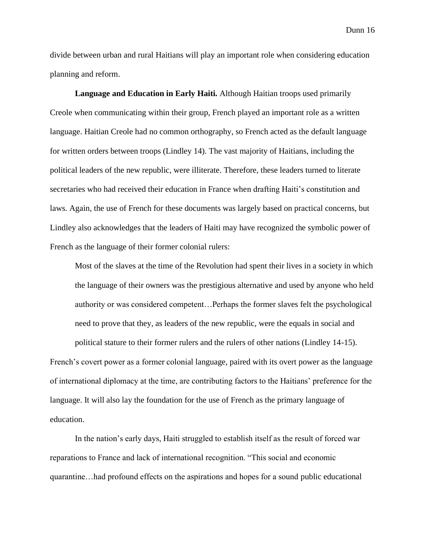divide between urban and rural Haitians will play an important role when considering education planning and reform.

**Language and Education in Early Haiti.** Although Haitian troops used primarily Creole when communicating within their group, French played an important role as a written language. Haitian Creole had no common orthography, so French acted as the default language for written orders between troops (Lindley 14). The vast majority of Haitians, including the political leaders of the new republic, were illiterate. Therefore, these leaders turned to literate secretaries who had received their education in France when drafting Haiti's constitution and laws. Again, the use of French for these documents was largely based on practical concerns, but Lindley also acknowledges that the leaders of Haiti may have recognized the symbolic power of French as the language of their former colonial rulers:

Most of the slaves at the time of the Revolution had spent their lives in a society in which the language of their owners was the prestigious alternative and used by anyone who held authority or was considered competent…Perhaps the former slaves felt the psychological need to prove that they, as leaders of the new republic, were the equals in social and

French's covert power as a former colonial language, paired with its overt power as the language of international diplomacy at the time, are contributing factors to the Haitians' preference for the language. It will also lay the foundation for the use of French as the primary language of education.

political stature to their former rulers and the rulers of other nations (Lindley 14-15).

In the nation's early days, Haiti struggled to establish itself as the result of forced war reparations to France and lack of international recognition. "This social and economic quarantine…had profound effects on the aspirations and hopes for a sound public educational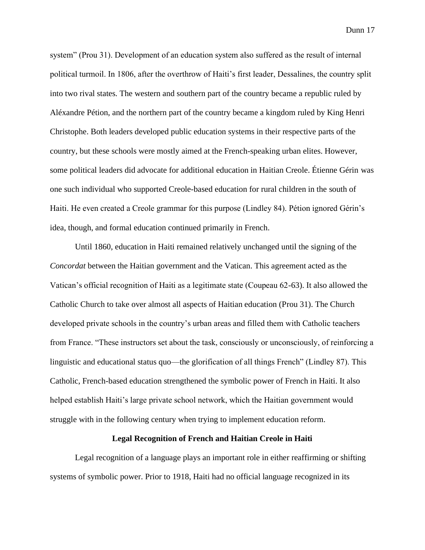system" (Prou 31). Development of an education system also suffered as the result of internal political turmoil. In 1806, after the overthrow of Haiti's first leader, Dessalines, the country split into two rival states. The western and southern part of the country became a republic ruled by Aléxandre Pétion, and the northern part of the country became a kingdom ruled by King Henri Christophe. Both leaders developed public education systems in their respective parts of the country, but these schools were mostly aimed at the French-speaking urban elites. However, some political leaders did advocate for additional education in Haitian Creole. Étienne Gérin was one such individual who supported Creole-based education for rural children in the south of Haiti. He even created a Creole grammar for this purpose (Lindley 84). Pétion ignored Gérin's idea, though, and formal education continued primarily in French.

Until 1860, education in Haiti remained relatively unchanged until the signing of the *Concordat* between the Haitian government and the Vatican. This agreement acted as the Vatican's official recognition of Haiti as a legitimate state (Coupeau 62-63). It also allowed the Catholic Church to take over almost all aspects of Haitian education (Prou 31). The Church developed private schools in the country's urban areas and filled them with Catholic teachers from France. "These instructors set about the task, consciously or unconsciously, of reinforcing a linguistic and educational status quo—the glorification of all things French" (Lindley 87). This Catholic, French-based education strengthened the symbolic power of French in Haiti. It also helped establish Haiti's large private school network, which the Haitian government would struggle with in the following century when trying to implement education reform.

## **Legal Recognition of French and Haitian Creole in Haiti**

Legal recognition of a language plays an important role in either reaffirming or shifting systems of symbolic power. Prior to 1918, Haiti had no official language recognized in its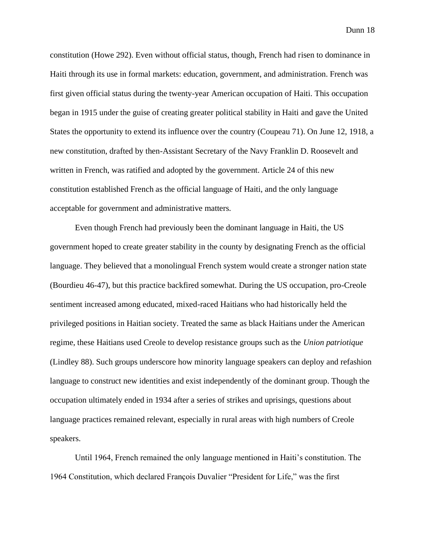constitution (Howe 292). Even without official status, though, French had risen to dominance in Haiti through its use in formal markets: education, government, and administration. French was first given official status during the twenty-year American occupation of Haiti. This occupation began in 1915 under the guise of creating greater political stability in Haiti and gave the United States the opportunity to extend its influence over the country (Coupeau 71). On June 12, 1918, a new constitution, drafted by then-Assistant Secretary of the Navy Franklin D. Roosevelt and written in French, was ratified and adopted by the government. Article 24 of this new constitution established French as the official language of Haiti, and the only language acceptable for government and administrative matters.

Even though French had previously been the dominant language in Haiti, the US government hoped to create greater stability in the county by designating French as the official language. They believed that a monolingual French system would create a stronger nation state (Bourdieu 46-47), but this practice backfired somewhat. During the US occupation, pro-Creole sentiment increased among educated, mixed-raced Haitians who had historically held the privileged positions in Haitian society. Treated the same as black Haitians under the American regime, these Haitians used Creole to develop resistance groups such as the *Union patriotique*  (Lindley 88). Such groups underscore how minority language speakers can deploy and refashion language to construct new identities and exist independently of the dominant group. Though the occupation ultimately ended in 1934 after a series of strikes and uprisings, questions about language practices remained relevant, especially in rural areas with high numbers of Creole speakers.

Until 1964, French remained the only language mentioned in Haiti's constitution. The 1964 Constitution, which declared François Duvalier "President for Life," was the first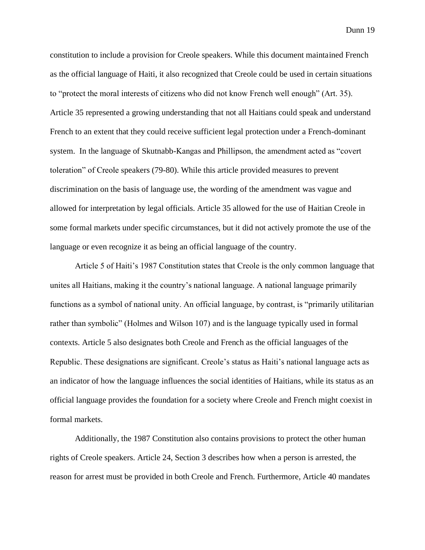constitution to include a provision for Creole speakers. While this document maintained French as the official language of Haiti, it also recognized that Creole could be used in certain situations to "protect the moral interests of citizens who did not know French well enough" (Art. 35). Article 35 represented a growing understanding that not all Haitians could speak and understand French to an extent that they could receive sufficient legal protection under a French-dominant system. In the language of Skutnabb-Kangas and Phillipson, the amendment acted as "covert toleration" of Creole speakers (79-80). While this article provided measures to prevent discrimination on the basis of language use, the wording of the amendment was vague and allowed for interpretation by legal officials. Article 35 allowed for the use of Haitian Creole in some formal markets under specific circumstances, but it did not actively promote the use of the language or even recognize it as being an official language of the country.

Article 5 of Haiti's 1987 Constitution states that Creole is the only common language that unites all Haitians, making it the country's national language. A national language primarily functions as a symbol of national unity. An official language, by contrast, is "primarily utilitarian rather than symbolic" (Holmes and Wilson 107) and is the language typically used in formal contexts. Article 5 also designates both Creole and French as the official languages of the Republic. These designations are significant. Creole's status as Haiti's national language acts as an indicator of how the language influences the social identities of Haitians, while its status as an official language provides the foundation for a society where Creole and French might coexist in formal markets.

Additionally, the 1987 Constitution also contains provisions to protect the other human rights of Creole speakers. Article 24, Section 3 describes how when a person is arrested, the reason for arrest must be provided in both Creole and French. Furthermore, Article 40 mandates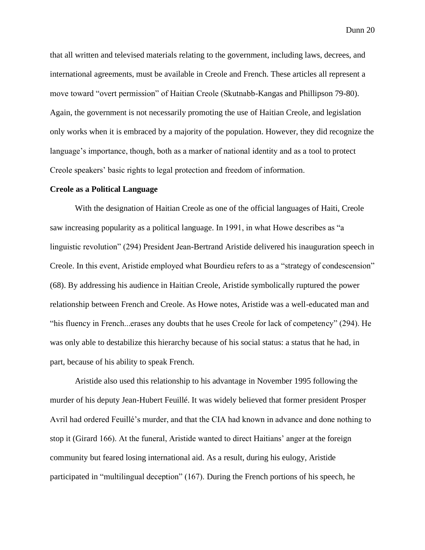that all written and televised materials relating to the government, including laws, decrees, and international agreements, must be available in Creole and French. These articles all represent a move toward "overt permission" of Haitian Creole (Skutnabb-Kangas and Phillipson 79-80). Again, the government is not necessarily promoting the use of Haitian Creole, and legislation only works when it is embraced by a majority of the population. However, they did recognize the language's importance, though, both as a marker of national identity and as a tool to protect Creole speakers' basic rights to legal protection and freedom of information.

## **Creole as a Political Language**

With the designation of Haitian Creole as one of the official languages of Haiti, Creole saw increasing popularity as a political language. In 1991, in what Howe describes as "a linguistic revolution" (294) President Jean-Bertrand Aristide delivered his inauguration speech in Creole. In this event, Aristide employed what Bourdieu refers to as a "strategy of condescension" (68). By addressing his audience in Haitian Creole, Aristide symbolically ruptured the power relationship between French and Creole. As Howe notes, Aristide was a well-educated man and "his fluency in French...erases any doubts that he uses Creole for lack of competency" (294). He was only able to destabilize this hierarchy because of his social status: a status that he had, in part, because of his ability to speak French.

Aristide also used this relationship to his advantage in November 1995 following the murder of his deputy Jean-Hubert Feuillé. It was widely believed that former president Prosper Avril had ordered Feuillé's murder, and that the CIA had known in advance and done nothing to stop it (Girard 166). At the funeral, Aristide wanted to direct Haitians' anger at the foreign community but feared losing international aid. As a result, during his eulogy, Aristide participated in "multilingual deception" (167). During the French portions of his speech, he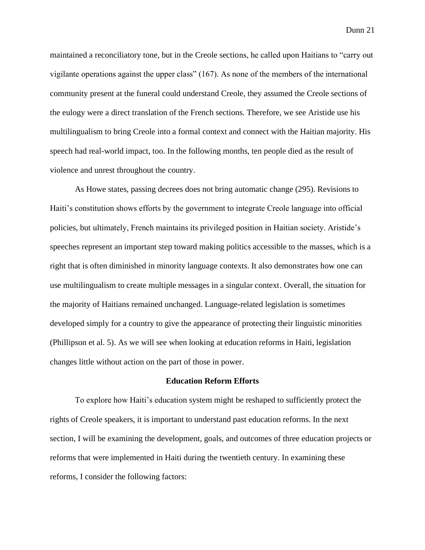maintained a reconciliatory tone, but in the Creole sections, he called upon Haitians to "carry out vigilante operations against the upper class" (167). As none of the members of the international community present at the funeral could understand Creole, they assumed the Creole sections of the eulogy were a direct translation of the French sections. Therefore, we see Aristide use his multilingualism to bring Creole into a formal context and connect with the Haitian majority. His speech had real-world impact, too. In the following months, ten people died as the result of violence and unrest throughout the country.

As Howe states, passing decrees does not bring automatic change (295). Revisions to Haiti's constitution shows efforts by the government to integrate Creole language into official policies, but ultimately, French maintains its privileged position in Haitian society. Aristide's speeches represent an important step toward making politics accessible to the masses, which is a right that is often diminished in minority language contexts. It also demonstrates how one can use multilingualism to create multiple messages in a singular context. Overall, the situation for the majority of Haitians remained unchanged. Language-related legislation is sometimes developed simply for a country to give the appearance of protecting their linguistic minorities (Phillipson et al. 5). As we will see when looking at education reforms in Haiti, legislation changes little without action on the part of those in power.

## **Education Reform Efforts**

To explore how Haiti's education system might be reshaped to sufficiently protect the rights of Creole speakers, it is important to understand past education reforms. In the next section, I will be examining the development, goals, and outcomes of three education projects or reforms that were implemented in Haiti during the twentieth century. In examining these reforms, I consider the following factors: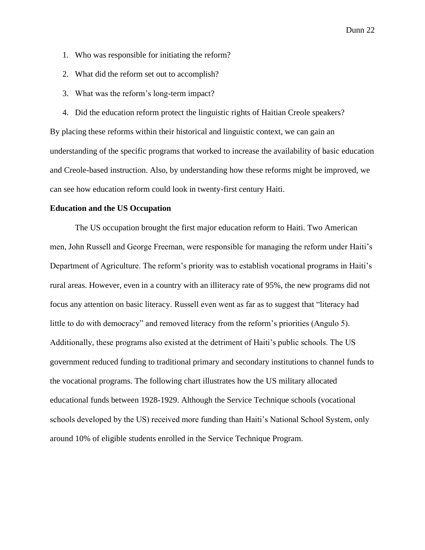- 1. Who was responsible for initiating the reform?
- 2. What did the reform set out to accomplish?
- 3. What was the reform's long-term impact?

4. Did the education reform protect the linguistic rights of Haitian Creole speakers? By placing these reforms within their historical and linguistic context, we can gain an understanding of the specific programs that worked to increase the availability of basic education and Creole-based instruction. Also, by understanding how these reforms might be improved, we can see how education reform could look in twenty-first century Haiti.

#### **Education and the US Occupation**

The US occupation brought the first major education reform to Haiti. Two American men, John Russell and George Freeman, were responsible for managing the reform under Haiti's Department of Agriculture. The reform's priority was to establish vocational programs in Haiti's rural areas. However, even in a country with an illiteracy rate of 95%, the new programs did not focus any attention on basic literacy. Russell even went as far as to suggest that "literacy had little to do with democracy" and removed literacy from the reform's priorities (Angulo 5). Additionally, these programs also existed at the detriment of Haiti's public schools. The US government reduced funding to traditional primary and secondary institutions to channel funds to the vocational programs. The following chart illustrates how the US military allocated educational funds between 1928-1929. Although the Service Technique schools (vocational schools developed by the US) received more funding than Haiti's National School System, only around 10% of eligible students enrolled in the Service Technique Program.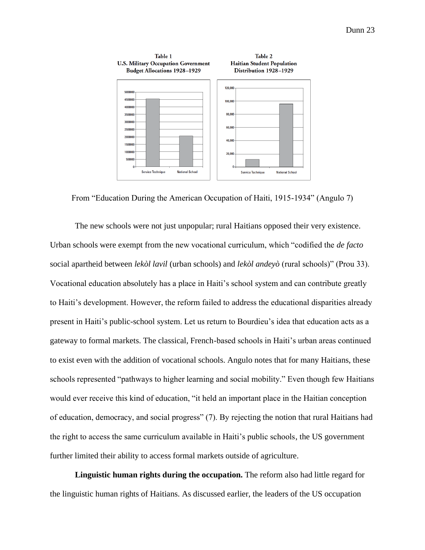

From "Education During the American Occupation of Haiti, 1915-1934" (Angulo 7)

The new schools were not just unpopular; rural Haitians opposed their very existence. Urban schools were exempt from the new vocational curriculum, which "codified the *de facto* social apartheid between *lekòl lavil* (urban schools) and *lekòl andeyò* (rural schools)" (Prou 33). Vocational education absolutely has a place in Haiti's school system and can contribute greatly to Haiti's development. However, the reform failed to address the educational disparities already present in Haiti's public-school system. Let us return to Bourdieu's idea that education acts as a gateway to formal markets. The classical, French-based schools in Haiti's urban areas continued to exist even with the addition of vocational schools. Angulo notes that for many Haitians, these schools represented "pathways to higher learning and social mobility." Even though few Haitians would ever receive this kind of education, "it held an important place in the Haitian conception of education, democracy, and social progress" (7). By rejecting the notion that rural Haitians had the right to access the same curriculum available in Haiti's public schools, the US government further limited their ability to access formal markets outside of agriculture.

**Linguistic human rights during the occupation.** The reform also had little regard for the linguistic human rights of Haitians. As discussed earlier, the leaders of the US occupation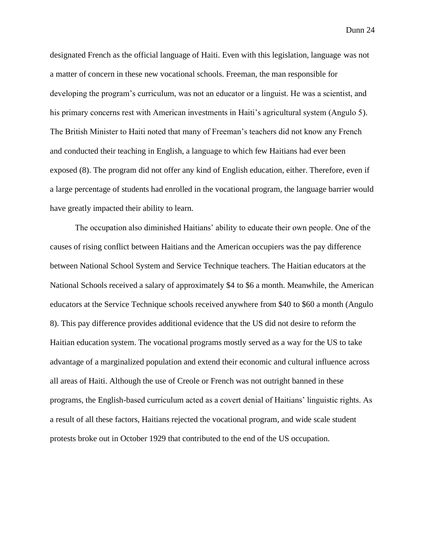designated French as the official language of Haiti. Even with this legislation, language was not a matter of concern in these new vocational schools. Freeman, the man responsible for developing the program's curriculum, was not an educator or a linguist. He was a scientist, and his primary concerns rest with American investments in Haiti's agricultural system (Angulo 5). The British Minister to Haiti noted that many of Freeman's teachers did not know any French and conducted their teaching in English, a language to which few Haitians had ever been exposed (8). The program did not offer any kind of English education, either. Therefore, even if a large percentage of students had enrolled in the vocational program, the language barrier would have greatly impacted their ability to learn.

The occupation also diminished Haitians' ability to educate their own people. One of the causes of rising conflict between Haitians and the American occupiers was the pay difference between National School System and Service Technique teachers. The Haitian educators at the National Schools received a salary of approximately \$4 to \$6 a month. Meanwhile, the American educators at the Service Technique schools received anywhere from \$40 to \$60 a month (Angulo 8). This pay difference provides additional evidence that the US did not desire to reform the Haitian education system. The vocational programs mostly served as a way for the US to take advantage of a marginalized population and extend their economic and cultural influence across all areas of Haiti. Although the use of Creole or French was not outright banned in these programs, the English-based curriculum acted as a covert denial of Haitians' linguistic rights. As a result of all these factors, Haitians rejected the vocational program, and wide scale student protests broke out in October 1929 that contributed to the end of the US occupation.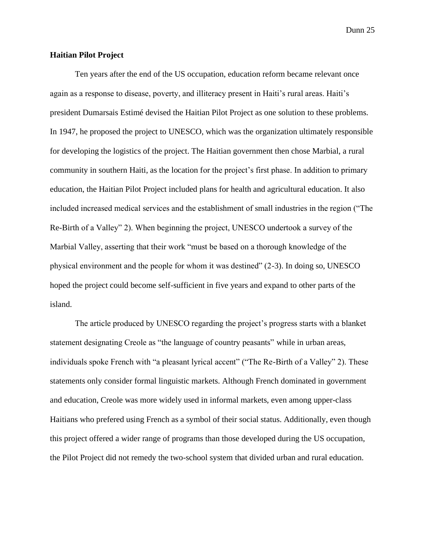## **Haitian Pilot Project**

Ten years after the end of the US occupation, education reform became relevant once again as a response to disease, poverty, and illiteracy present in Haiti's rural areas. Haiti's president Dumarsais Estimé devised the Haitian Pilot Project as one solution to these problems. In 1947, he proposed the project to UNESCO, which was the organization ultimately responsible for developing the logistics of the project. The Haitian government then chose Marbial, a rural community in southern Haiti, as the location for the project's first phase. In addition to primary education, the Haitian Pilot Project included plans for health and agricultural education. It also included increased medical services and the establishment of small industries in the region ("The Re-Birth of a Valley" 2). When beginning the project, UNESCO undertook a survey of the Marbial Valley, asserting that their work "must be based on a thorough knowledge of the physical environment and the people for whom it was destined" (2-3). In doing so, UNESCO hoped the project could become self-sufficient in five years and expand to other parts of the island.

The article produced by UNESCO regarding the project's progress starts with a blanket statement designating Creole as "the language of country peasants" while in urban areas, individuals spoke French with "a pleasant lyrical accent" ("The Re-Birth of a Valley" 2). These statements only consider formal linguistic markets. Although French dominated in government and education, Creole was more widely used in informal markets, even among upper-class Haitians who prefered using French as a symbol of their social status. Additionally, even though this project offered a wider range of programs than those developed during the US occupation, the Pilot Project did not remedy the two-school system that divided urban and rural education.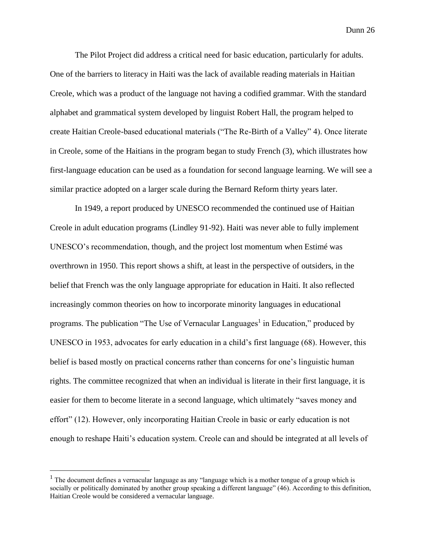The Pilot Project did address a critical need for basic education, particularly for adults. One of the barriers to literacy in Haiti was the lack of available reading materials in Haitian Creole, which was a product of the language not having a codified grammar. With the standard alphabet and grammatical system developed by linguist Robert Hall, the program helped to create Haitian Creole-based educational materials ("The Re-Birth of a Valley" 4). Once literate in Creole, some of the Haitians in the program began to study French (3), which illustrates how first-language education can be used as a foundation for second language learning. We will see a similar practice adopted on a larger scale during the Bernard Reform thirty years later.

In 1949, a report produced by UNESCO recommended the continued use of Haitian Creole in adult education programs (Lindley 91-92). Haiti was never able to fully implement UNESCO's recommendation, though, and the project lost momentum when Estimé was overthrown in 1950. This report shows a shift, at least in the perspective of outsiders, in the belief that French was the only language appropriate for education in Haiti. It also reflected increasingly common theories on how to incorporate minority languages in educational programs. The publication "The Use of Vernacular Languages<sup>1</sup> in Education," produced by UNESCO in 1953, advocates for early education in a child's first language (68). However, this belief is based mostly on practical concerns rather than concerns for one's linguistic human rights. The committee recognized that when an individual is literate in their first language, it is easier for them to become literate in a second language, which ultimately "saves money and effort" (12). However, only incorporating Haitian Creole in basic or early education is not enough to reshape Haiti's education system. Creole can and should be integrated at all levels of

<sup>&</sup>lt;sup>1</sup> The document defines a vernacular language as any "language which is a mother tongue of a group which is socially or politically dominated by another group speaking a different language" (46). According to this definition, Haitian Creole would be considered a vernacular language.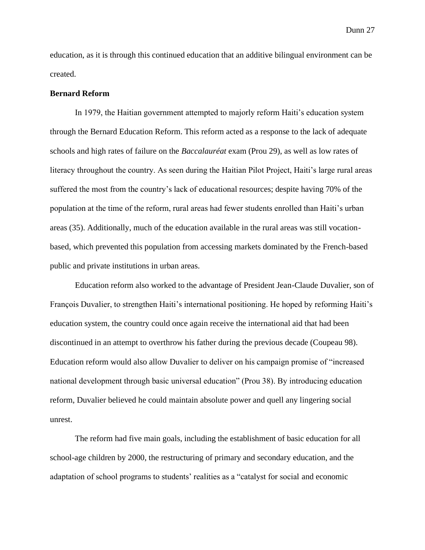education, as it is through this continued education that an additive bilingual environment can be created.

#### **Bernard Reform**

In 1979, the Haitian government attempted to majorly reform Haiti's education system through the Bernard Education Reform. This reform acted as a response to the lack of adequate schools and high rates of failure on the *Baccalauréat* exam (Prou 29), as well as low rates of literacy throughout the country. As seen during the Haitian Pilot Project, Haiti's large rural areas suffered the most from the country's lack of educational resources; despite having 70% of the population at the time of the reform, rural areas had fewer students enrolled than Haiti's urban areas (35). Additionally, much of the education available in the rural areas was still vocationbased, which prevented this population from accessing markets dominated by the French-based public and private institutions in urban areas.

Education reform also worked to the advantage of President Jean-Claude Duvalier, son of François Duvalier, to strengthen Haiti's international positioning. He hoped by reforming Haiti's education system, the country could once again receive the international aid that had been discontinued in an attempt to overthrow his father during the previous decade (Coupeau 98). Education reform would also allow Duvalier to deliver on his campaign promise of "increased national development through basic universal education" (Prou 38). By introducing education reform, Duvalier believed he could maintain absolute power and quell any lingering social unrest.

The reform had five main goals, including the establishment of basic education for all school-age children by 2000, the restructuring of primary and secondary education, and the adaptation of school programs to students' realities as a "catalyst for social and economic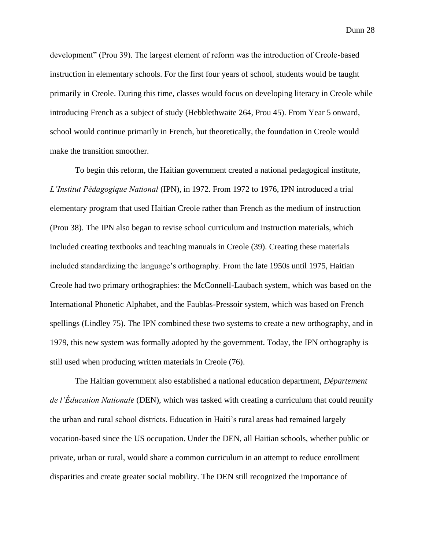development" (Prou 39). The largest element of reform was the introduction of Creole-based instruction in elementary schools. For the first four years of school, students would be taught primarily in Creole. During this time, classes would focus on developing literacy in Creole while introducing French as a subject of study (Hebblethwaite 264, Prou 45). From Year 5 onward, school would continue primarily in French, but theoretically, the foundation in Creole would make the transition smoother.

To begin this reform, the Haitian government created a national pedagogical institute, *L'Institut Pédagogique National* (IPN), in 1972. From 1972 to 1976, IPN introduced a trial elementary program that used Haitian Creole rather than French as the medium of instruction (Prou 38). The IPN also began to revise school curriculum and instruction materials, which included creating textbooks and teaching manuals in Creole (39). Creating these materials included standardizing the language's orthography. From the late 1950s until 1975, Haitian Creole had two primary orthographies: the McConnell-Laubach system, which was based on the International Phonetic Alphabet, and the Faublas-Pressoir system, which was based on French spellings (Lindley 75). The IPN combined these two systems to create a new orthography, and in 1979, this new system was formally adopted by the government. Today, the IPN orthography is still used when producing written materials in Creole (76).

The Haitian government also established a national education department, *Département de l'Éducation Nationale* (DEN), which was tasked with creating a curriculum that could reunify the urban and rural school districts. Education in Haiti's rural areas had remained largely vocation-based since the US occupation. Under the DEN, all Haitian schools, whether public or private, urban or rural, would share a common curriculum in an attempt to reduce enrollment disparities and create greater social mobility. The DEN still recognized the importance of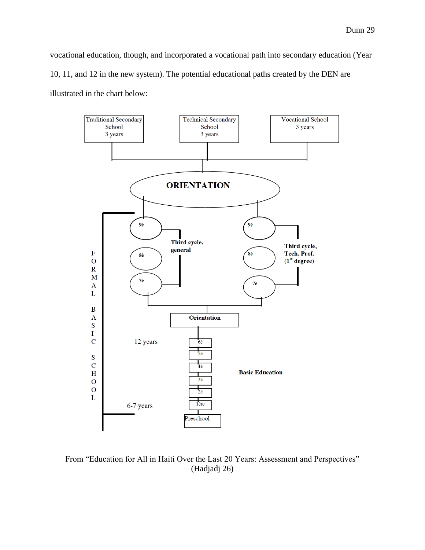vocational education, though, and incorporated a vocational path into secondary education (Year 10, 11, and 12 in the new system). The potential educational paths created by the DEN are illustrated in the chart below:



From "Education for All in Haiti Over the Last 20 Years: Assessment and Perspectives" (Hadjadj 26)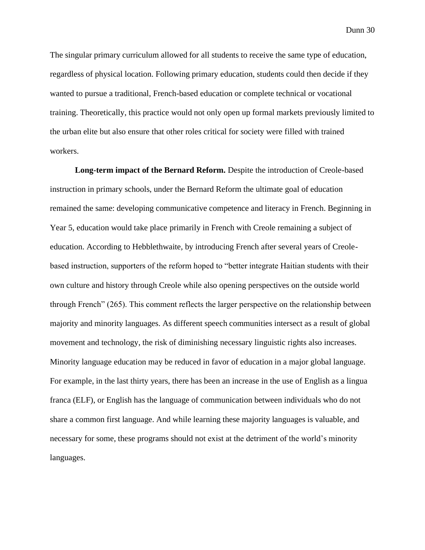The singular primary curriculum allowed for all students to receive the same type of education, regardless of physical location. Following primary education, students could then decide if they wanted to pursue a traditional, French-based education or complete technical or vocational training. Theoretically, this practice would not only open up formal markets previously limited to the urban elite but also ensure that other roles critical for society were filled with trained workers.

**Long-term impact of the Bernard Reform.** Despite the introduction of Creole-based instruction in primary schools, under the Bernard Reform the ultimate goal of education remained the same: developing communicative competence and literacy in French. Beginning in Year 5, education would take place primarily in French with Creole remaining a subject of education. According to Hebblethwaite, by introducing French after several years of Creolebased instruction, supporters of the reform hoped to "better integrate Haitian students with their own culture and history through Creole while also opening perspectives on the outside world through French" (265). This comment reflects the larger perspective on the relationship between majority and minority languages. As different speech communities intersect as a result of global movement and technology, the risk of diminishing necessary linguistic rights also increases. Minority language education may be reduced in favor of education in a major global language. For example, in the last thirty years, there has been an increase in the use of English as a lingua franca (ELF), or English has the language of communication between individuals who do not share a common first language. And while learning these majority languages is valuable, and necessary for some, these programs should not exist at the detriment of the world's minority languages.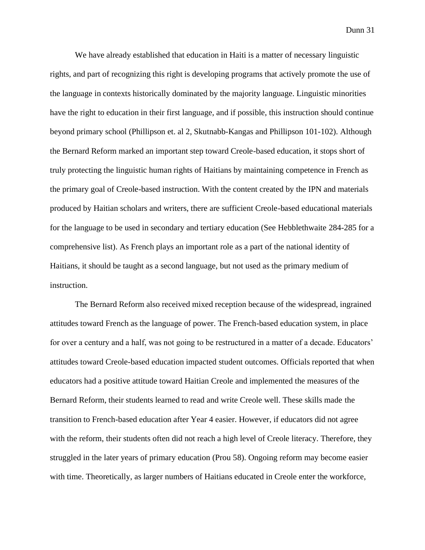We have already established that education in Haiti is a matter of necessary linguistic rights, and part of recognizing this right is developing programs that actively promote the use of the language in contexts historically dominated by the majority language. Linguistic minorities have the right to education in their first language, and if possible, this instruction should continue beyond primary school (Phillipson et. al 2, Skutnabb-Kangas and Phillipson 101-102). Although the Bernard Reform marked an important step toward Creole-based education, it stops short of truly protecting the linguistic human rights of Haitians by maintaining competence in French as the primary goal of Creole-based instruction. With the content created by the IPN and materials produced by Haitian scholars and writers, there are sufficient Creole-based educational materials for the language to be used in secondary and tertiary education (See Hebblethwaite 284-285 for a comprehensive list). As French plays an important role as a part of the national identity of Haitians, it should be taught as a second language, but not used as the primary medium of instruction.

The Bernard Reform also received mixed reception because of the widespread, ingrained attitudes toward French as the language of power. The French-based education system, in place for over a century and a half, was not going to be restructured in a matter of a decade. Educators' attitudes toward Creole-based education impacted student outcomes. Officials reported that when educators had a positive attitude toward Haitian Creole and implemented the measures of the Bernard Reform, their students learned to read and write Creole well. These skills made the transition to French-based education after Year 4 easier. However, if educators did not agree with the reform, their students often did not reach a high level of Creole literacy. Therefore, they struggled in the later years of primary education (Prou 58). Ongoing reform may become easier with time. Theoretically, as larger numbers of Haitians educated in Creole enter the workforce,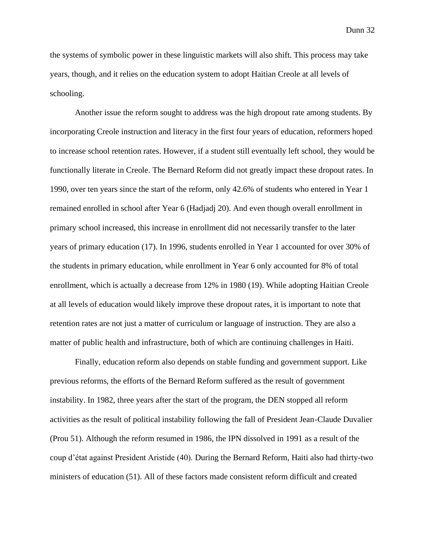the systems of symbolic power in these linguistic markets will also shift. This process may take years, though, and it relies on the education system to adopt Haitian Creole at all levels of schooling.

Another issue the reform sought to address was the high dropout rate among students. By incorporating Creole instruction and literacy in the first four years of education, reformers hoped to increase school retention rates. However, if a student still eventually left school, they would be functionally literate in Creole. The Bernard Reform did not greatly impact these dropout rates. In 1990, over ten years since the start of the reform, only 42.6% of students who entered in Year 1 remained enrolled in school after Year 6 (Hadjadj 20). And even though overall enrollment in primary school increased, this increase in enrollment did not necessarily transfer to the later years of primary education (17). In 1996, students enrolled in Year 1 accounted for over 30% of the students in primary education, while enrollment in Year 6 only accounted for 8% of total enrollment, which is actually a decrease from 12% in 1980 (19). While adopting Haitian Creole at all levels of education would likely improve these dropout rates, it is important to note that retention rates are not just a matter of curriculum or language of instruction. They are also a matter of public health and infrastructure, both of which are continuing challenges in Haiti.

Finally, education reform also depends on stable funding and government support. Like previous reforms, the efforts of the Bernard Reform suffered as the result of government instability. In 1982, three years after the start of the program, the DEN stopped all reform activities as the result of political instability following the fall of President Jean-Claude Duvalier (Prou 51). Although the reform resumed in 1986, the IPN dissolved in 1991 as a result of the coup d'état against President Aristide (40). During the Bernard Reform, Haiti also had thirty-two ministers of education (51). All of these factors made consistent reform difficult and created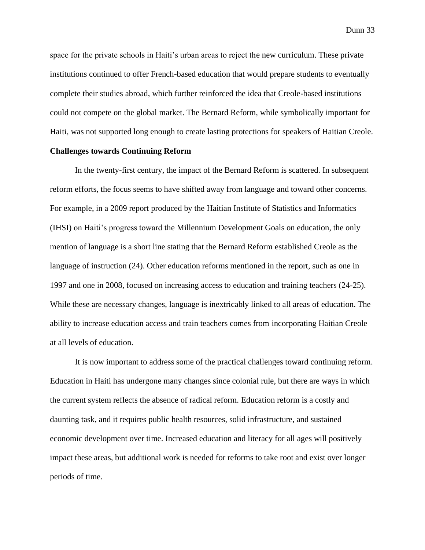space for the private schools in Haiti's urban areas to reject the new curriculum. These private institutions continued to offer French-based education that would prepare students to eventually complete their studies abroad, which further reinforced the idea that Creole-based institutions could not compete on the global market. The Bernard Reform, while symbolically important for Haiti, was not supported long enough to create lasting protections for speakers of Haitian Creole.

## **Challenges towards Continuing Reform**

In the twenty-first century, the impact of the Bernard Reform is scattered. In subsequent reform efforts, the focus seems to have shifted away from language and toward other concerns. For example, in a 2009 report produced by the Haitian Institute of Statistics and Informatics (IHSI) on Haiti's progress toward the Millennium Development Goals on education, the only mention of language is a short line stating that the Bernard Reform established Creole as the language of instruction (24). Other education reforms mentioned in the report, such as one in 1997 and one in 2008, focused on increasing access to education and training teachers (24-25). While these are necessary changes, language is inextricably linked to all areas of education. The ability to increase education access and train teachers comes from incorporating Haitian Creole at all levels of education.

It is now important to address some of the practical challenges toward continuing reform. Education in Haiti has undergone many changes since colonial rule, but there are ways in which the current system reflects the absence of radical reform. Education reform is a costly and daunting task, and it requires public health resources, solid infrastructure, and sustained economic development over time. Increased education and literacy for all ages will positively impact these areas, but additional work is needed for reforms to take root and exist over longer periods of time.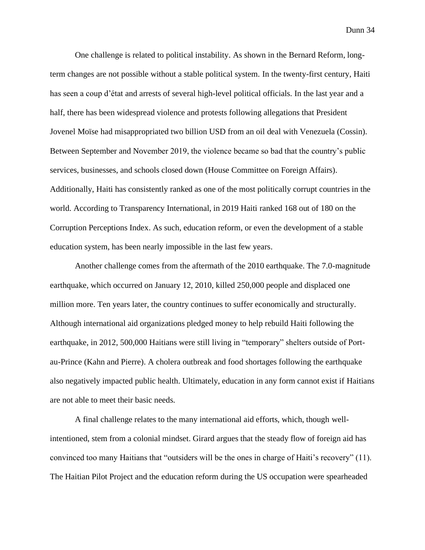One challenge is related to political instability. As shown in the Bernard Reform, longterm changes are not possible without a stable political system. In the twenty-first century, Haiti has seen a coup d'état and arrests of several high-level political officials. In the last year and a half, there has been widespread violence and protests following allegations that President Jovenel Moïse had misappropriated two billion USD from an oil deal with Venezuela (Cossin). Between September and November 2019, the violence became so bad that the country's public services, businesses, and schools closed down (House Committee on Foreign Affairs). Additionally, Haiti has consistently ranked as one of the most politically corrupt countries in the world. According to Transparency International, in 2019 Haiti ranked 168 out of 180 on the Corruption Perceptions Index. As such, education reform, or even the development of a stable education system, has been nearly impossible in the last few years.

Another challenge comes from the aftermath of the 2010 earthquake. The 7.0-magnitude earthquake, which occurred on January 12, 2010, killed 250,000 people and displaced one million more. Ten years later, the country continues to suffer economically and structurally. Although international aid organizations pledged money to help rebuild Haiti following the earthquake, in 2012, 500,000 Haitians were still living in "temporary" shelters outside of Portau-Prince (Kahn and Pierre). A cholera outbreak and food shortages following the earthquake also negatively impacted public health. Ultimately, education in any form cannot exist if Haitians are not able to meet their basic needs.

A final challenge relates to the many international aid efforts, which, though wellintentioned, stem from a colonial mindset. Girard argues that the steady flow of foreign aid has convinced too many Haitians that "outsiders will be the ones in charge of Haiti's recovery" (11). The Haitian Pilot Project and the education reform during the US occupation were spearheaded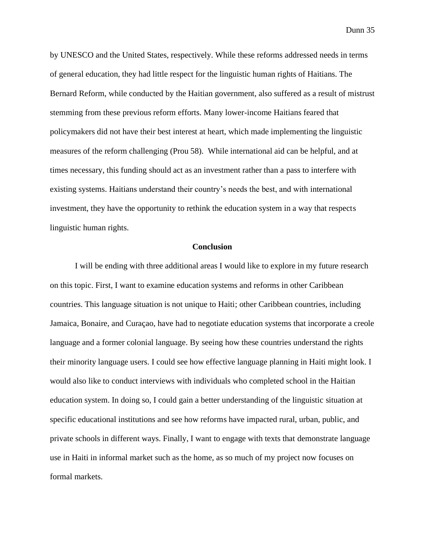by UNESCO and the United States, respectively. While these reforms addressed needs in terms of general education, they had little respect for the linguistic human rights of Haitians. The Bernard Reform, while conducted by the Haitian government, also suffered as a result of mistrust stemming from these previous reform efforts. Many lower-income Haitians feared that policymakers did not have their best interest at heart, which made implementing the linguistic measures of the reform challenging (Prou 58). While international aid can be helpful, and at times necessary, this funding should act as an investment rather than a pass to interfere with existing systems. Haitians understand their country's needs the best, and with international investment, they have the opportunity to rethink the education system in a way that respects linguistic human rights.

## **Conclusion**

I will be ending with three additional areas I would like to explore in my future research on this topic. First, I want to examine education systems and reforms in other Caribbean countries. This language situation is not unique to Haiti; other Caribbean countries, including Jamaica, Bonaire, and Curaçao, have had to negotiate education systems that incorporate a creole language and a former colonial language. By seeing how these countries understand the rights their minority language users. I could see how effective language planning in Haiti might look. I would also like to conduct interviews with individuals who completed school in the Haitian education system. In doing so, I could gain a better understanding of the linguistic situation at specific educational institutions and see how reforms have impacted rural, urban, public, and private schools in different ways. Finally, I want to engage with texts that demonstrate language use in Haiti in informal market such as the home, as so much of my project now focuses on formal markets.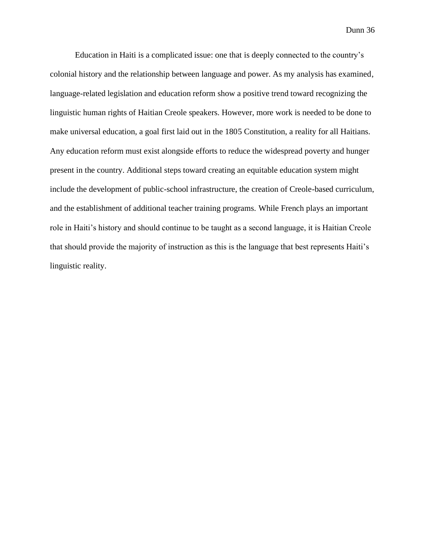Education in Haiti is a complicated issue: one that is deeply connected to the country's colonial history and the relationship between language and power. As my analysis has examined, language-related legislation and education reform show a positive trend toward recognizing the linguistic human rights of Haitian Creole speakers. However, more work is needed to be done to make universal education, a goal first laid out in the 1805 Constitution, a reality for all Haitians. Any education reform must exist alongside efforts to reduce the widespread poverty and hunger present in the country. Additional steps toward creating an equitable education system might include the development of public-school infrastructure, the creation of Creole-based curriculum, and the establishment of additional teacher training programs. While French plays an important role in Haiti's history and should continue to be taught as a second language, it is Haitian Creole that should provide the majority of instruction as this is the language that best represents Haiti's linguistic reality.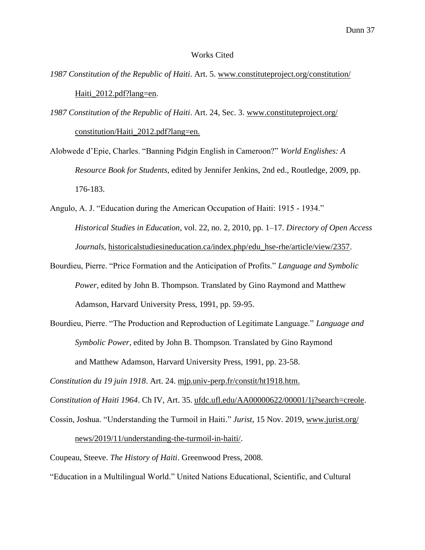#### Works Cited

- *1987 Constitution of the Republic of Haiti*. Art. 5. [www.constituteproject.org/c](http://www.constituteproject.org/)onstitution/ Haiti\_2012.pdf?lang=en.
- *1987 Constitution of the Republic of Haiti*. Art. 24, Sec. 3. [www.constituteproject.](http://www.constituteproject/)org/ constitution/Haiti\_2012.pdf?lang=en.
- Alobwede d'Epie, Charles. "Banning Pidgin English in Cameroon?" *World Englishes: A Resource Book for Students*, edited by Jennifer Jenkins, 2nd ed., Routledge, 2009, pp. 176-183.
- Angulo, A. J. "Education during the American Occupation of Haiti: 1915 1934." *Historical Studies in Education*, vol. 22, no. 2, 2010, pp. 1–17. *Directory of Open Access Journals,* historicalstudiesineducation.ca/index.php/edu\_hse-rhe/article/view/2357.
- Bourdieu, Pierre. "Price Formation and the Anticipation of Profits." *Language and Symbolic Power*, edited by John B. Thompson. Translated by Gino Raymond and Matthew Adamson, Harvard University Press, 1991, pp. 59-95.
- Bourdieu, Pierre. "The Production and Reproduction of Legitimate Language." *Language and Symbolic Power*, edited by John B. Thompson. Translated by Gino Raymond and Matthew Adamson, Harvard University Press, 1991, pp. 23-58.

*Constitution du 19 juin 1918*. Art. 24. [mjp.univ-perp.fr/constit/ht1918.htm.](https://mjp.univ-perp.fr/constit/ht1918.htm)

*Constitution of Haiti 1964*. Ch IV, Art. 35. ufdc.ufl.edu/AA00000622/00001/1j?search=creole.

Cossin, Joshua. "Understanding the Turmoil in Haiti." *Jurist*, 15 Nov. 2019, www.jurist.org/

news/2019/11/understanding-the-turmoil-in-haiti/.

Coupeau, Steeve. *The History of Haiti*. Greenwood Press, 2008.

"Education in a Multilingual World." United Nations Educational, Scientific, and Cultural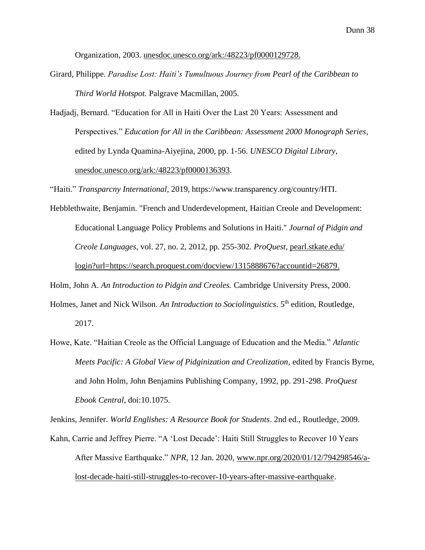Organization, 2003. [unesdoc.unesco.org/ark:/48223/pf0000129728.](https://unesdoc.unesco.org/ark:/48223/pf0000129728)

- Girard, Philippe. *Paradise Lost: Haiti's Tumultuous Journey from Pearl of the Caribbean to Third World Hotspot.* Palgrave Macmillan, 2005.
- Hadjadj, Bernard. "Education for All in Haiti Over the Last 20 Years: Assessment and Perspectives." *Education for All in the Caribbean: Assessment 2000 Monograph Series*, edited by Lynda Quamina-Aiyejina, 2000, pp. 1-56. *UNESCO Digital Library,* [unesdoc.unesco.org/ark:/48223/pf0000136393.](https://unesdoc.unesco.org/ark:/48223/pf0000136393)

"Haiti." *Transparcny International*, 2019, https://www.transparency.org/country/HTI.

Hebblethwaite, Benjamin. "French and Underdevelopment, Haitian Creole and Development: Educational Language Policy Problems and Solutions in Haiti." *Journal of Pidgin and Creole Languages*, vol. 27, no. 2, 2012, pp. 255-302*. ProQuest*, [pearl.stkate.edu/](http://pearl.stkate.edu/) login?url[=https://search.proquest.com/docview/1315888676?accountid=26879.](https://search.proquest.com/docview/1315888676?accountid=26879)

Holm, John A. *An Introduction to Pidgin and Creoles.* Cambridge University Press, 2000.

- Holmes, Janet and Nick Wilson. An Introduction to Sociolinguistics. 5<sup>th</sup> edition, Routledge, 2017.
- Howe, Kate. "Haitian Creole as the Official Language of Education and the Media." *Atlantic Meets Pacific: A Global View of Pidginization and Creolization*, edited by Francis Byrne, and John Holm, John Benjamins Publishing Company, 1992, pp. 291-298. *ProQuest Ebook Central*, doi:10.1075.

Jenkins, Jennifer. *World Englishes: A Resource Book for Students*. 2nd ed., Routledge, 2009.

Kahn, Carrie and Jeffrey Pierre. "A 'Lost Decade': Haiti Still Struggles to Recover 10 Years After Massive Earthquake." *NPR,* 12 Jan. 2020, www.npr.org/2020/01/12/794298546/alost-decade-haiti-still-struggles-to-recover-10-years-after-massive-earthquake.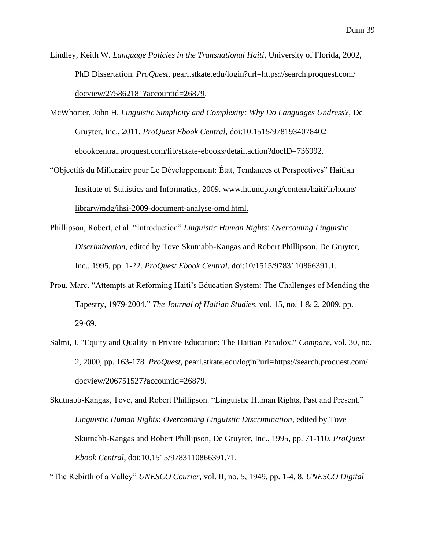Lindley, Keith W. *Language Policies in the Transnational Haiti*, University of Florida, 2002*,* PhD Dissertation*. ProQuest*, [pearl.stkate.edu/login?url=https://search.proquest.com/](http://pearl.stkate.edu/login?url=https://search.proquest.com/) docview/275862181?accountid=26879.

McWhorter, John H. *Linguistic Simplicity and Complexity: Why Do Languages Undress?*, De Gruyter, Inc., 2011. *ProQuest Ebook Central*, doi:10.1515/9781934078402 ebookcentral.proquest.com/lib/stkate-ebooks/detail.action?docID=736992.

- "Objectifs du Millenaire pour Le Développement: État, Tendances et Perspectives" Haitian Institute of Statistics and Informatics, 2009. www.ht.undp.org/content/haiti/fr/home/ library/mdg/ihsi-2009-document-analyse-omd.html.
- Phillipson, Robert, et al. "Introduction" *Linguistic Human Rights: Overcoming Linguistic Discrimination*, edited by Tove Skutnabb-Kangas and Robert Phillipson, De Gruyter, Inc., 1995, pp. 1-22. *ProQuest Ebook Central*, doi:10/1515/9783110866391.1.
- Prou, Marc. "Attempts at Reforming Haiti's Education System: The Challenges of Mending the Tapestry, 1979-2004." *The Journal of Haitian Studies*, vol. 15, no. 1 & 2, 2009, pp. 29-69.
- Salmi, J. "Equity and Quality in Private Education: The Haitian Paradox." *Compare*, vol. 30, no. 2, 2000, pp. 163-178*. ProQuest*, pearl.stkate.edu/login?url=https://search.proquest.com/ docview/206751527?accountid=26879.

"The Rebirth of a Valley" *UNESCO Courier,* vol. II, no. 5, 1949, pp. 1-4, 8. *UNESCO Digital* 

Skutnabb-Kangas, Tove, and Robert Phillipson. "Linguistic Human Rights, Past and Present." *Linguistic Human Rights: Overcoming Linguistic Discrimination*, edited by Tove Skutnabb-Kangas and Robert Phillipson, De Gruyter, Inc., 1995, pp. 71-110. *ProQuest Ebook Central*, doi:10.1515/9783110866391.71.